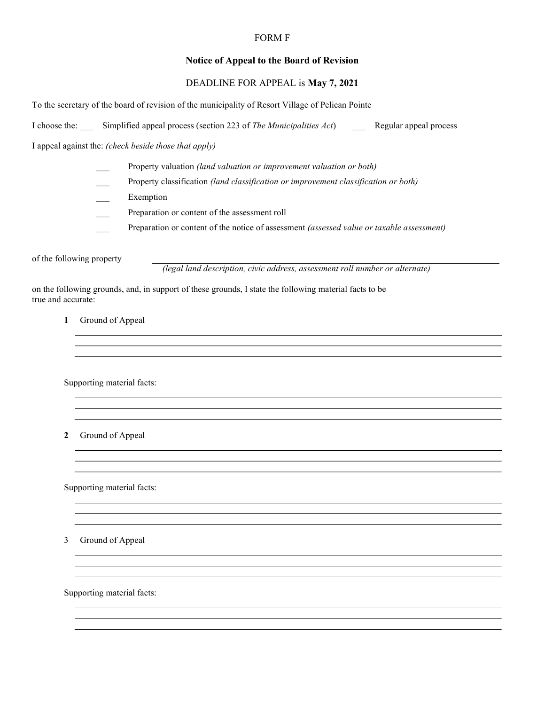#### FORM F

## Notice of Appeal to the Board of Revision

# DEADLINE FOR APPEAL is May 7, 2021

To the secretary of the board of revision of the municipality of Resort Village of Pelican Pointe

I choose the: Simplified appeal process (section 223 of The Municipalities Act) Regular appeal process

I appeal against the: (check beside those that apply)

- Property valuation (land valuation or improvement valuation or both)
- Property classification (land classification or improvement classification or both)
- Exemption
- Preparation or content of the assessment roll
- Preparation or content of the notice of assessment (assessed value or taxable assessment)

of the following property

(legal land description, civic address, assessment roll number or alternate)

on the following grounds, and, in support of these grounds, I state the following material facts to be true and accurate:

1 Ground of Appeal

Supporting material facts:

2 Ground of Appeal

Supporting material facts:

3 Ground of Appeal

Supporting material facts: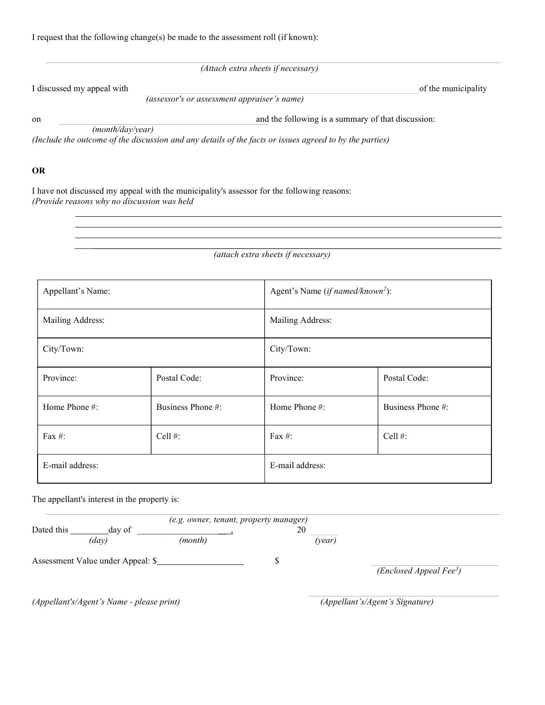(Attach extra sheets if necessary)

I discussed my appeal with of the municipality

(assessor's or assessment appraiser's name)

on and the following is a summary of that discussion:

(month/day/year)

(Include the outcome of the discussion and any details of the facts or issues agreed to by the parties)

### OR

I have not discussed my appeal with the municipality's assessor for the following reasons: (Provide reasons why no discussion was held

(attach extra sheets if necessary)

| Appellant's Name: |                   | Agent's Name ( <i>if named/known</i> <sup>2</sup> ): |                   |  |
|-------------------|-------------------|------------------------------------------------------|-------------------|--|
| Mailing Address:  |                   | Mailing Address:                                     |                   |  |
| City/Town:        |                   | City/Town:                                           |                   |  |
| Province:         | Postal Code:      | Province:                                            | Postal Code:      |  |
| Home Phone #:     | Business Phone #: | Home Phone #:                                        | Business Phone #: |  |
| Fax $#$ :         | Cell $#$ :        | Fax $#$ :                                            | Cell $#$ :        |  |
| E-mail address:   |                   | E-mail address:                                      |                   |  |

The appellant's interest in the property is:

|                                           |        | (e.g. owner, tenant, property manager) |  |                                 |                     |
|-------------------------------------------|--------|----------------------------------------|--|---------------------------------|---------------------|
| Dated this                                | day of |                                        |  | 20                              |                     |
|                                           | (day)  | (month)                                |  | (year)                          |                     |
| Assessment Value under Appeal: \$         |        |                                        |  |                                 |                     |
|                                           |        |                                        |  |                                 | (Enclosed Appendix) |
|                                           |        |                                        |  |                                 |                     |
| (Appellant's/Agent's Name - please print) |        |                                        |  | (Appellant's/Agent's Signature) |                     |